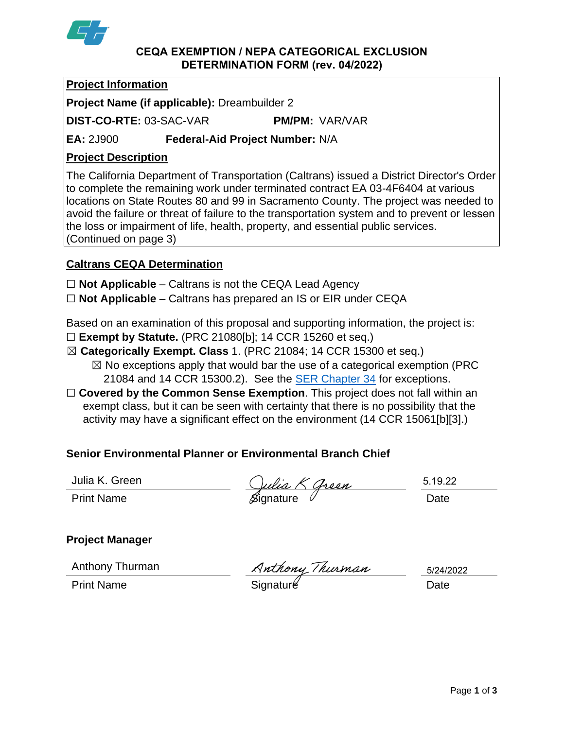

#### **CEQA EXEMPTION / NEPA CATEGORICAL EXCLUSION DETERMINATION FORM (rev. 04/2022)**

## **Project Information**

**Project Name (if applicable):** Dreambuilder 2

**DIST-CO-RTE:** 03-SAC-VAR **PM/PM:** VAR/VAR

**EA:** 2J900 **Federal-Aid Project Number:** N/A

# **Project Description**

The California Department of Transportation (Caltrans) issued a District Director's Order to complete the remaining work under terminated contract EA 03-4F6404 at various locations on State Routes 80 and 99 in Sacramento County. The project was needed to avoid the failure or threat of failure to the transportation system and to prevent or lessen the loss or impairment of life, health, property, and essential public services. (Continued on page 3)

# **Caltrans CEQA Determination**

☐ **Not Applicable** – Caltrans is not the CEQA Lead Agency

☐ **Not Applicable** – Caltrans has prepared an IS or EIR under CEQA

Based on an examination of this proposal and supporting information, the project is:

- ☐ **Exempt by Statute.** (PRC 21080[b]; 14 CCR 15260 et seq.)
- ☒ **Categorically Exempt. Class** 1. (PRC 21084; 14 CCR 15300 et seq.)
	- $\boxtimes$  No exceptions apply that would bar the use of a categorical exemption (PRC 21084 and 14 CCR 15300.2). See the [SER Chapter 34](https://dot.ca.gov/programs/environmental-analysis/standard-environmental-reference-ser/volume-1-guidance-for-compliance/ch-34-exemptions-to-ceqa#except) for exceptions.
- □ **Covered by the Common Sense Exemption**. This project does not fall within an exempt class, but it can be seen with certainty that there is no possibility that the activity may have a significant effect on the environment (14 CCR 15061[b][3].)

# **Senior Environmental Planner or Environmental Branch Chief**

Julia K. Green

Julia K. Green<br>Print Name Bignature Signature Date

5.19.22

# **Project Manager**

Anthony Thurman

Anthony Thurman Anthony Thurman 5/24/2<br>Print Name Date

5/24/2022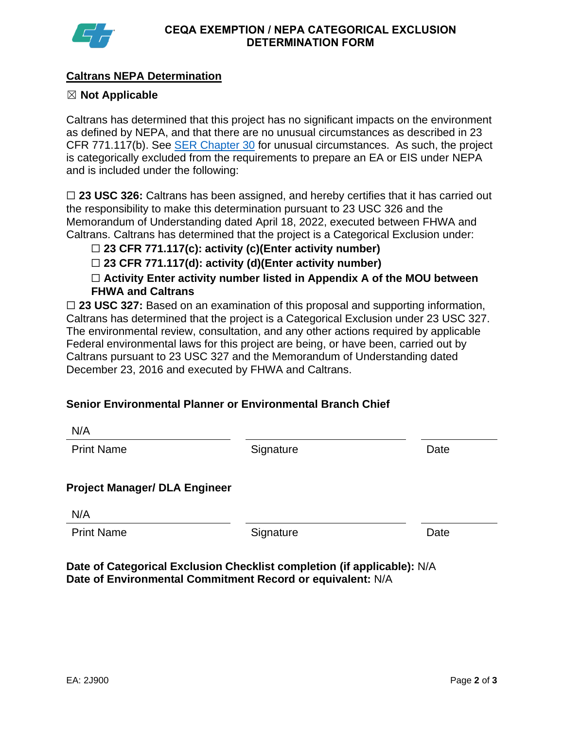

## **Caltrans NEPA Determination**

### ☒ **Not Applicable**

Caltrans has determined that this project has no significant impacts on the environment as defined by NEPA, and that there are no unusual circumstances as described in 23 CFR 771.117(b). See [SER Chapter 30](https://dot.ca.gov/programs/environmental-analysis/standard-environmental-reference-ser/volume-1-guidance-for-compliance/ch-30-categorical-exclusions#exception) for unusual circumstances. As such, the project is categorically excluded from the requirements to prepare an EA or EIS under NEPA and is included under the following:

□ 23 USC 326: Caltrans has been assigned, and hereby certifies that it has carried out the responsibility to make this determination pursuant to 23 USC 326 and the Memorandum of Understanding dated April 18, 2022, executed between FHWA and Caltrans. Caltrans has determined that the project is a Categorical Exclusion under:

☐ **23 CFR 771.117(c): activity (c)(Enter activity number)**

☐ **23 CFR 771.117(d): activity (d)(Enter activity number)**

☐ **Activity Enter activity number listed in Appendix A of the MOU between FHWA and Caltrans**

□ 23 USC 327: Based on an examination of this proposal and supporting information, Caltrans has determined that the project is a Categorical Exclusion under 23 USC 327. The environmental review, consultation, and any other actions required by applicable Federal environmental laws for this project are being, or have been, carried out by Caltrans pursuant to 23 USC 327 and the Memorandum of Understanding dated December 23, 2016 and executed by FHWA and Caltrans.

### **Senior Environmental Planner or Environmental Branch Chief**

| IN/M                                 |           |      |
|--------------------------------------|-----------|------|
| <b>Print Name</b>                    | Signature | Date |
| <b>Project Manager/ DLA Engineer</b> |           |      |
| N/A                                  |           |      |
| <b>Print Name</b>                    | Signature | Date |
|                                      |           |      |

**Date of Categorical Exclusion Checklist completion (if applicable):** N/A **Date of Environmental Commitment Record or equivalent:** N/A

N/A